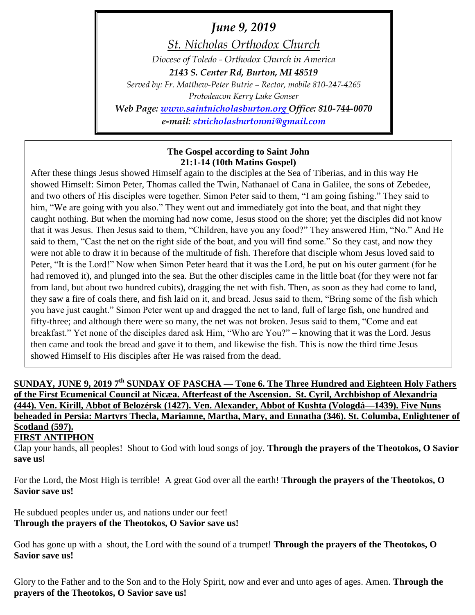*June 9, 2019*

*St. Nicholas Orthodox Church*

*Diocese of Toledo - Orthodox Church in America 2143 S. Center Rd, Burton, MI 48519 Served by: Fr. Matthew-Peter Butrie – Rector, mobile 810-247-4265 Protodeacon Kerry Luke Gonser Web Page: [www.saintnicholasburton.org](http://www.saintnicholasburton.org/) Office: 810-744-0070 e-mail: [stnicholasburtonmi@gmail.com](mailto:stnicholasburtonmi@gmail.com)*

#### **The Gospel according to Saint John 21:1-14 (10th Matins Gospel)**

After these things Jesus showed Himself again to the disciples at the Sea of Tiberias, and in this way He showed Himself: Simon Peter, Thomas called the Twin, Nathanael of Cana in Galilee, the sons of Zebedee, and two others of His disciples were together. Simon Peter said to them, "I am going fishing." They said to him, "We are going with you also." They went out and immediately got into the boat, and that night they caught nothing. But when the morning had now come, Jesus stood on the shore; yet the disciples did not know that it was Jesus. Then Jesus said to them, "Children, have you any food?" They answered Him, "No." And He said to them, "Cast the net on the right side of the boat, and you will find some." So they cast, and now they were not able to draw it in because of the multitude of fish. Therefore that disciple whom Jesus loved said to Peter, "It is the Lord!" Now when Simon Peter heard that it was the Lord, he put on his outer garment (for he had removed it), and plunged into the sea. But the other disciples came in the little boat (for they were not far from land, but about two hundred cubits), dragging the net with fish. Then, as soon as they had come to land, they saw a fire of coals there, and fish laid on it, and bread. Jesus said to them, "Bring some of the fish which you have just caught." Simon Peter went up and dragged the net to land, full of large fish, one hundred and fifty-three; and although there were so many, the net was not broken. Jesus said to them, "Come and eat breakfast." Yet none of the disciples dared ask Him, "Who are You?" – knowing that it was the Lord. Jesus then came and took the bread and gave it to them, and likewise the fish. This is now the third time Jesus showed Himself to His disciples after He was raised from the dead.

**<u>SUNDAY, JUNE 9, 2019 7<sup>th</sup> SUNDAY OF PASCHA — Tone 6. The Three Hundred and Eighteen Holy Fathers</u> of the First Ecumenical Council at Nicæa. Afterfeast of the Ascension. St. Cyril, Archbishop of Alexandria (444). Ven. Kirill, Abbot of Belozérsk (1427). Ven. Alexander, Abbot of Kushta (Vologdá—1439). Five Nuns beheaded in Persia: Martyrs Thecla, Mariamne, Martha, Mary, and Ennatha (346). St. Columba, Enlightener of Scotland (597).**

#### **FIRST ANTIPHON**

Clap your hands, all peoples! Shout to God with loud songs of joy. **Through the prayers of the Theotokos, O Savior save us!**

For the Lord, the Most High is terrible! A great God over all the earth! **Through the prayers of the Theotokos, O Savior save us!**

He subdued peoples under us, and nations under our feet! **Through the prayers of the Theotokos, O Savior save us!**

God has gone up with a shout, the Lord with the sound of a trumpet! **Through the prayers of the Theotokos, O Savior save us!**

Glory to the Father and to the Son and to the Holy Spirit, now and ever and unto ages of ages. Amen. **Through the prayers of the Theotokos, O Savior save us!**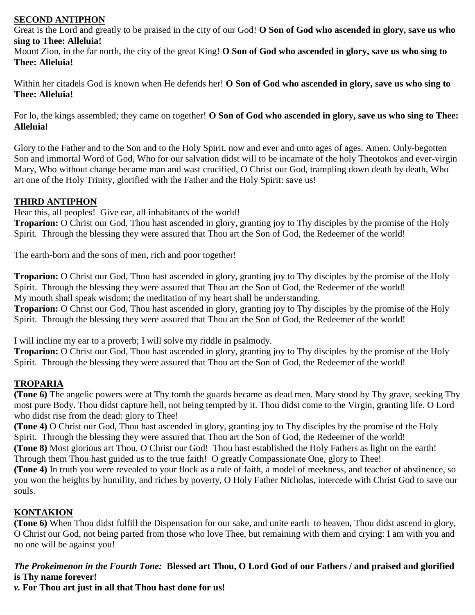#### **SECOND ANTIPHON**

Great is the Lord and greatly to be praised in the city of our God! **O Son of God who ascended in glory, save us who sing to Thee: Alleluia!**

Mount Zion, in the far north, the city of the great King! **O Son of God who ascended in glory, save us who sing to Thee: Alleluia!**

Within her citadels God is known when He defends her! **O Son of God who ascended in glory, save us who sing to Thee: Alleluia!**

For lo, the kings assembled; they came on together! **O** Son of God who ascended in glory, save us who sing to Thee: **Alleluia!**

Glory to the Father and to the Son and to the Holy Spirit, now and ever and unto ages of ages. Amen. Only-begotten Son and immortal Word of God, Who for our salvation didst will to be incarnate of the holy Theotokos and ever-virgin Mary, Who without change became man and wast crucified, O Christ our God, trampling down death by death, Who art one of the Holy Trinity, glorified with the Father and the Holy Spirit: save us!

#### **THIRD ANTIPHON**

Hear this, all peoples! Give ear, all inhabitants of the world!

**Troparion:** O Christ our God, Thou hast ascended in glory, granting joy to Thy disciples by the promise of the Holy Spirit. Through the blessing they were assured that Thou art the Son of God, the Redeemer of the world!

The earth-born and the sons of men, rich and poor together!

**Troparion:** O Christ our God, Thou hast ascended in glory, granting joy to Thy disciples by the promise of the Holy Spirit. Through the blessing they were assured that Thou art the Son of God, the Redeemer of the world! My mouth shall speak wisdom; the meditation of my heart shall be understanding.

**Troparion:** O Christ our God, Thou hast ascended in glory, granting joy to Thy disciples by the promise of the Holy Spirit. Through the blessing they were assured that Thou art the Son of God, the Redeemer of the world!

I will incline my ear to a proverb; I will solve my riddle in psalmody.

**Troparion:** O Christ our God, Thou hast ascended in glory, granting joy to Thy disciples by the promise of the Holy Spirit. Through the blessing they were assured that Thou art the Son of God, the Redeemer of the world!

#### **TROPARIA**

**(Tone 6)** The angelic powers were at Thy tomb the guards became as dead men. Mary stood by Thy grave, seeking Thy most pure Body. Thou didst capture hell, not being tempted by it. Thou didst come to the Virgin, granting life. O Lord who didst rise from the dead: glory to Thee!

**(Tone 4)** O Christ our God, Thou hast ascended in glory, granting joy to Thy disciples by the promise of the Holy Spirit. Through the blessing they were assured that Thou art the Son of God, the Redeemer of the world! **(Tone 8)** Most glorious art Thou, O Christ our God! Thou hast established the Holy Fathers as light on the earth! Through them Thou hast guided us to the true faith! O greatly Compassionate One, glory to Thee!

**(Tone 4)** In truth you were revealed to your flock as a rule of faith, a model of meekness, and teacher of abstinence, so you won the heights by humility, and riches by poverty, O Holy Father Nicholas, intercede with Christ God to save our souls.

## **KONTAKION**

**(Tone 6)** When Thou didst fulfill the Dispensation for our sake, and unite earth to heaven, Thou didst ascend in glory, O Christ our God, not being parted from those who love Thee, but remaining with them and crying: I am with you and no one will be against you!

## *The Prokeimenon in the Fourth Tone:* **Blessed art Thou, O Lord God of our Fathers / and praised and glorified is Thy name forever!**

*v.* **For Thou art just in all that Thou hast done for us!**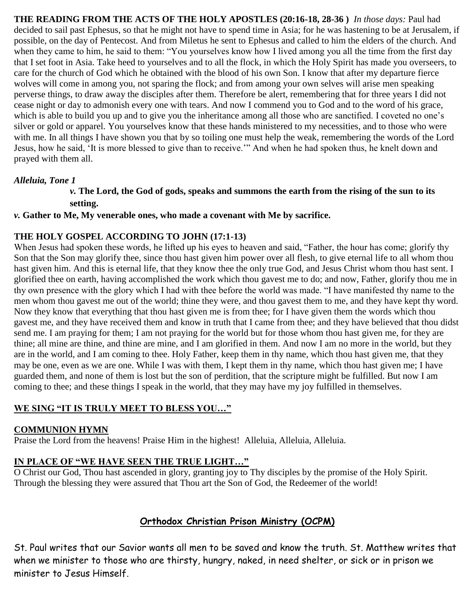**THE READING FROM THE ACTS OF THE HOLY APOSTLES (20:16-18, 28-36 )** *In those days:* Paul had decided to sail past Ephesus, so that he might not have to spend time in Asia; for he was hastening to be at Jerusalem, if possible, on the day of Pentecost. And from Miletus he sent to Ephesus and called to him the elders of the church. And when they came to him, he said to them: "You yourselves know how I lived among you all the time from the first day that I set foot in Asia. Take heed to yourselves and to all the flock, in which the Holy Spirit has made you overseers, to care for the church of God which he obtained with the blood of his own Son. I know that after my departure fierce wolves will come in among you, not sparing the flock; and from among your own selves will arise men speaking perverse things, to draw away the disciples after them. Therefore be alert, remembering that for three years I did not cease night or day to admonish every one with tears. And now I commend you to God and to the word of his grace, which is able to build you up and to give you the inheritance among all those who are sanctified. I coveted no one's silver or gold or apparel. You yourselves know that these hands ministered to my necessities, and to those who were with me. In all things I have shown you that by so toiling one must help the weak, remembering the words of the Lord Jesus, how he said, 'It is more blessed to give than to receive.'" And when he had spoken thus, he knelt down and prayed with them all.

#### *Alleluia, Tone 1*

*v.* **The Lord, the God of gods, speaks and summons the earth from the rising of the sun to its setting.**

#### *v.* **Gather to Me, My venerable ones, who made a covenant with Me by sacrifice.**

## **THE HOLY GOSPEL ACCORDING TO JOHN (17:1-13)**

When Jesus had spoken these words, he lifted up his eyes to heaven and said, "Father, the hour has come; glorify thy Son that the Son may glorify thee, since thou hast given him power over all flesh, to give eternal life to all whom thou hast given him. And this is eternal life, that they know thee the only true God, and Jesus Christ whom thou hast sent. I glorified thee on earth, having accomplished the work which thou gavest me to do; and now, Father, glorify thou me in thy own presence with the glory which I had with thee before the world was made. "I have manifested thy name to the men whom thou gavest me out of the world; thine they were, and thou gavest them to me, and they have kept thy word. Now they know that everything that thou hast given me is from thee; for I have given them the words which thou gavest me, and they have received them and know in truth that I came from thee; and they have believed that thou didst send me. I am praying for them; I am not praying for the world but for those whom thou hast given me, for they are thine; all mine are thine, and thine are mine, and I am glorified in them. And now I am no more in the world, but they are in the world, and I am coming to thee. Holy Father, keep them in thy name, which thou hast given me, that they may be one, even as we are one. While I was with them, I kept them in thy name, which thou hast given me; I have guarded them, and none of them is lost but the son of perdition, that the scripture might be fulfilled. But now I am coming to thee; and these things I speak in the world, that they may have my joy fulfilled in themselves.

## **WE SING "IT IS TRULY MEET TO BLESS YOU…"**

#### **COMMUNION HYMN**

Praise the Lord from the heavens! Praise Him in the highest! Alleluia, Alleluia, Alleluia.

## **IN PLACE OF "WE HAVE SEEN THE TRUE LIGHT…"**

O Christ our God, Thou hast ascended in glory, granting joy to Thy disciples by the promise of the Holy Spirit. Through the blessing they were assured that Thou art the Son of God, the Redeemer of the world!

## **Orthodox Christian Prison Ministry (OCPM)**

St. Paul writes that our Savior wants all men to be saved and know the truth. St. Matthew writes that when we minister to those who are thirsty, hungry, naked, in need shelter, or sick or in prison we minister to Jesus Himself.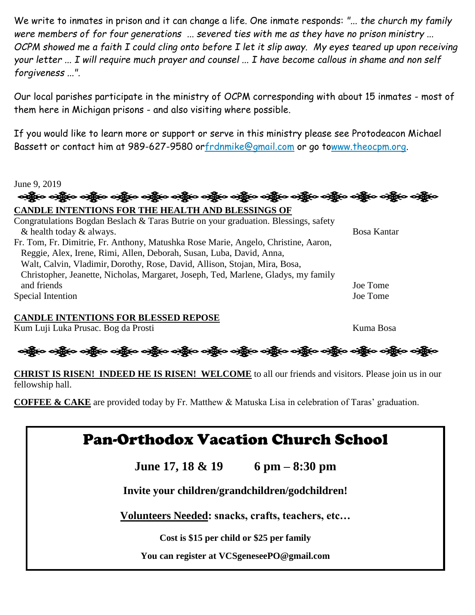We write to inmates in prison and it can change a life. One inmate responds: *"... the church my family were members of for four generations ... severed ties with me as they have no prison ministry ... OCPM showed me a faith I could cling onto before I let it slip away. My eyes teared up upon receiving your letter ... I will require much prayer and counsel ... I have become callous in shame and non self forgiveness ...".*

Our local parishes participate in the ministry of OCPM corresponding with about 15 inmates - most of them here in Michigan prisons - and also visiting where possible.

If you would like to learn more or support or serve in this ministry please see Protodeacon Michael Bassett or contact him at 989-627-9580 o[rfrdnmike@gmail.com](mailto:frdnmike@gmail.com) or go t[owww.theocpm.org.](http://www.theocpm.org/)

June 9, 2019

## န္းမွိုက သန္တိုက သန္တိုက သန္တိုက သန္တိုက သန္တိုက သန္တိုက သန္တိုက သန္တိုက သန္တိုက သန္တိုက သန္တိုက သန္တိုက **CANDLE INTENTIONS FOR THE HEALTH AND BLESSINGS OF**

| Congratulations Bogdan Beslach & Taras Butrie on your graduation. Blessings, safety |             |
|-------------------------------------------------------------------------------------|-------------|
| & health today & always.                                                            | Bosa Kantar |
| Fr. Tom, Fr. Dimitrie, Fr. Anthony, Matushka Rose Marie, Angelo, Christine, Aaron,  |             |
| Reggie, Alex, Irene, Rimi, Allen, Deborah, Susan, Luba, David, Anna,                |             |
| Walt, Calvin, Vladimir, Dorothy, Rose, David, Allison, Stojan, Mira, Bosa,          |             |
| Christopher, Jeanette, Nicholas, Margaret, Joseph, Ted, Marlene, Gladys, my family  |             |
| and friends                                                                         | Joe Tome    |
| Special Intention                                                                   | Joe Tome    |

#### **CANDLE INTENTIONS FOR BLESSED REPOSE**

Kum Luji Luka Prusac. Bog da Prosti *Kuma Bosa* 

બક્ષૂતિ બક્ષૂતિ બક્ષૂતિ બક્ષૂતિ બક્ષૂતિ બક્ષૂતિ બક્ષૂતિ બક્ષૂતિ બક્ષૂતિ બક્ષૂતિ બક્ષૂતિ બક્ષૂતિ બક્ષ

**CHRIST IS RISEN! INDEED HE IS RISEN! WELCOME** to all our friends and visitors. Please join us in our fellowship hall.

**COFFEE & CAKE** are provided today by Fr. Matthew & Matuska Lisa in celebration of Taras' graduation.

# Pan-Orthodox Vacation Church School

**June 17, 18 & 19 6 pm – 8:30 pm**

**Invite your children/grandchildren/godchildren!**

**Volunteers Needed: snacks, crafts, teachers, etc…**

**Cost is \$15 per child or \$25 per family**

**You can register at VCSgeneseePO@gmail.com**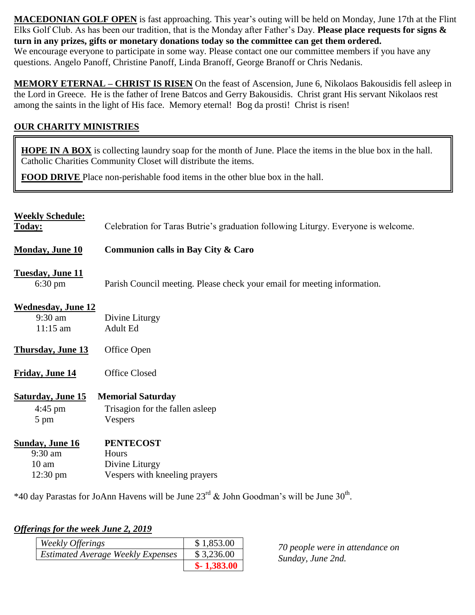**MACEDONIAN GOLF OPEN** is fast approaching. This year's outing will be held on Monday, June 17th at the Flint Elks Golf Club. As has been our tradition, that is the Monday after Father's Day. **Please place requests for signs & turn in any prizes, gifts or monetary donations today so the committee can get them ordered.** We encourage everyone to participate in some way. Please contact one our committee members if you have any questions. Angelo Panoff, Christine Panoff, Linda Branoff, George Branoff or Chris Nedanis.

**MEMORY ETERNAL – CHRIST IS RISEN** On the feast of Ascension, June 6, Nikolaos Bakousidis fell asleep in the Lord in Greece. He is the father of Irene Batcos and Gerry Bakousidis. Christ grant His servant Nikolaos rest among the saints in the light of His face. Memory eternal! Bog da prosti! Christ is risen!

## **OUR CHARITY MINISTRIES**

**Weekly Schedule: Today:** Celebration for Taras Butrie's graduation following Liturgy. Everyone is welcome. **Monday, June 10 Communion calls in Bay City & Caro Tuesday, June 11** 6:30 pm Parish Council meeting. Please check your email for meeting information. **Wednesday, June 12** 9:30 am Divine Liturgy 11:15 am Adult Ed **Thursday, June 13** Office Open **Friday, June 14** Office Closed **Saturday, June 15 Memorial Saturday** 4:45 pm Trisagion for the fallen asleep 5 pm Vespers **Sunday, June 16 PENTECOST** 9:30 am Hours 10 am Divine Liturgy 12:30 pm Vespers with kneeling prayers **HOPE IN A BOX** is collecting laundry soap for the month of June. Place the items in the blue box in the hall. Catholic Charities Community Closet will distribute the items. **FOOD DRIVE** Place non-perishable food items in the other blue box in the hall.

\*40 day Parastas for JoAnn Havens will be June  $23^{\text{rd}}$  & John Goodman's will be June  $30^{\text{th}}$ .

## *Offerings for the week June 2, 2019*

| Weekly Offerings                         | \$1,853.00   |
|------------------------------------------|--------------|
| <i>Estimated Average Weekly Expenses</i> | \$3,236.00   |
|                                          | $$-1,383.00$ |

*70 people were in attendance on Sunday, June 2nd.*